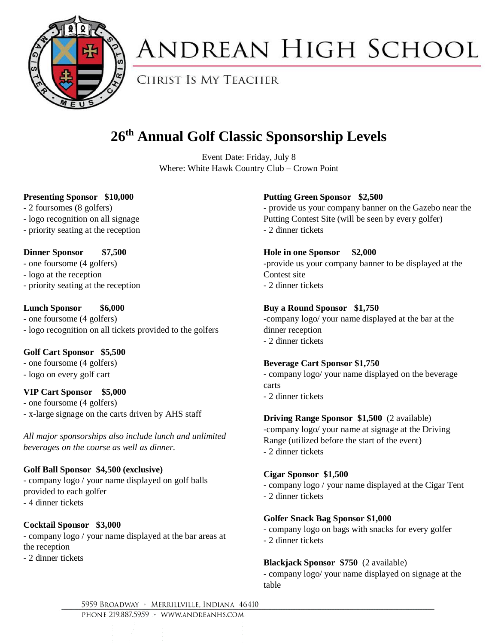

# **ANDREAN HIGH SCHOOL**

**CHRIST IS MY TEACHER** 

### **26th Annual Golf Classic Sponsorship Levels**

Event Date: Friday, July 8 Where: White Hawk Country Club – Crown Point

#### **Presenting Sponsor \$10,000**

- 2 foursomes (8 golfers)
- logo recognition on all signage
- priority seating at the reception

#### **Dinner Sponsor \$7,500**

- one foursome (4 golfers)
- logo at the reception
- priority seating at the reception

#### **Lunch Sponsor \$6,000**

- one foursome (4 golfers) - logo recognition on all tickets provided to the golfers

#### **Golf Cart Sponsor \$5,500**

- one foursome (4 golfers)

- logo on every golf cart

#### **VIP Cart Sponsor \$5,000**

- one foursome (4 golfers)

- x-large signage on the carts driven by AHS staff

*All major sponsorships also include lunch and unlimited beverages on the course as well as dinner.*

#### **Golf Ball Sponsor \$4,500 (exclusive)**

- company logo / your name displayed on golf balls provided to each golfer - 4 dinner tickets

#### **Cocktail Sponsor \$3,000**

- company logo / your name displayed at the bar areas at the reception

- 2 dinner tickets

#### **Putting Green Sponsor \$2,500**

- provide us your company banner on the Gazebo near the Putting Contest Site (will be seen by every golfer) - 2 dinner tickets

#### **Hole in one Sponsor \$2,000**

-provide us your company banner to be displayed at the Contest site

- 2 dinner tickets

#### **Buy a Round Sponsor \$1,750**

-company logo/ your name displayed at the bar at the dinner reception - 2 dinner tickets

#### **Beverage Cart Sponsor \$1,750**

- company logo/ your name displayed on the beverage carts

- 2 dinner tickets

#### **Driving Range Sponsor \$1,500** (2 available)

-company logo/ your name at signage at the Driving Range (utilized before the start of the event) - 2 dinner tickets

#### **Cigar Sponsor \$1,500**

- company logo / your name displayed at the Cigar Tent
- 2 dinner tickets

#### **Golfer Snack Bag Sponsor \$1,000**

- company logo on bags with snacks for every golfer
- 2 dinner tickets

#### **Blackjack Sponsor \$750** (2 available)

- company logo/ your name displayed on signage at the table

5959 BROADWAY · MERRILLVILLE, INDIANA 46410